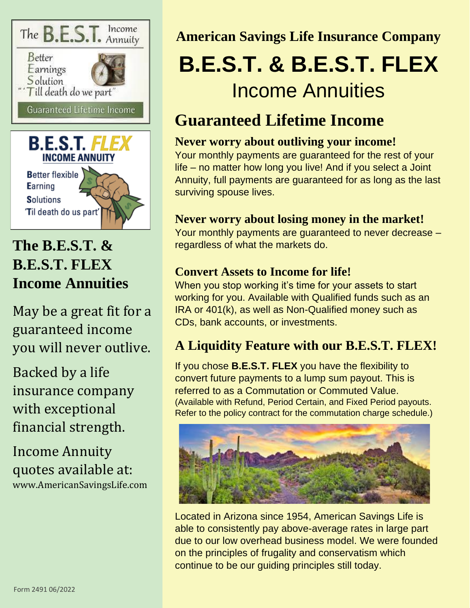

## **The B.E.S.T. & B.E.S.T. FLEX Income Annuities**

May be a great fit for a guaranteed income you will never outlive.

Backed by a life insurance company with exceptional financial strength.

Income Annuity quotes available at: www.AmericanSavingsLife.com

#### **American Savings Life Insurance Company**

# **B.E.S.T. & B.E.S.T. FLEX** Income Annuities

## **Guaranteed Lifetime Income**

#### **Never worry about outliving your income!**

Your monthly payments are guaranteed for the rest of your life – no matter how long you live! And if you select a Joint Annuity, full payments are guaranteed for as long as the last surviving spouse lives.

#### **Never worry about losing money in the market!**

Your monthly payments are guaranteed to never decrease – regardless of what the markets do.

#### **Convert Assets to Income for life!**

When you stop working it's time for your assets to start working for you. Available with Qualified funds such as an IRA or 401(k), as well as Non-Qualified money such as CDs, bank accounts, or investments.

### **A Liquidity Feature with our B.E.S.T. FLEX!**

If you chose **B.E.S.T. FLEX** you have the flexibility to convert future payments to a lump sum payout. This is referred to as a Commutation or Commuted Value. (Available with Refund, Period Certain, and Fixed Period payouts. Refer to the policy contract for the commutation charge schedule.)



Located in Arizona since 1954, American Savings Life is able to consistently pay above-average rates in large part due to our low overhead business model. We were founded on the principles of frugality and conservatism which continue to be our guiding principles still today.